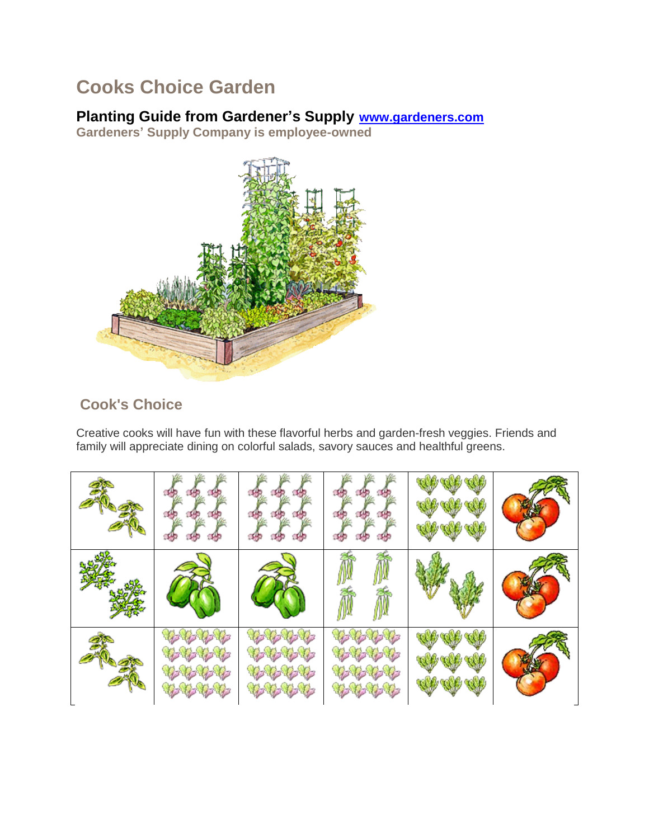# **Cooks Choice Garden**

## **Planting Guide from Gardener's Supply [www.gardeners.com](http://www.gardeners.com/)**

**Gardeners' Supply Company is employee-owned**



## **Cook's Choice**

Creative cooks will have fun with these flavorful herbs and garden-fresh veggies. Friends and family will appreciate dining on colorful salads, savory sauces and healthful greens.

|                                                                                                       |                                      |                          | <b>TALE</b><br>io espeso |  |
|-------------------------------------------------------------------------------------------------------|--------------------------------------|--------------------------|--------------------------|--|
|                                                                                                       |                                      |                          |                          |  |
| しょうしょう<br>やみやや<br>ねんもん<br>$\mathcal{C}_1, \mathcal{C}_2, \mathcal{C}_3, \mathcal{C}_4, \mathcal{C}_5$ | シャル<br>セール・レー<br>やみやや<br>You you you | やゆやゆ<br>やみやめ<br>せっしょせっせっ | V VED VED                |  |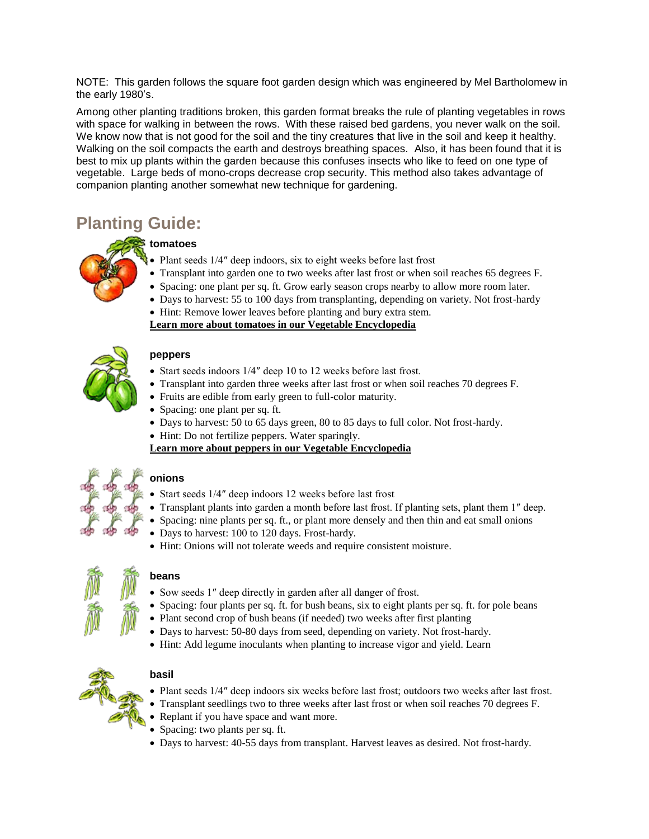NOTE: This garden follows the square foot garden design which was engineered by Mel Bartholomew in the early 1980's.

Among other planting traditions broken, this garden format breaks the rule of planting vegetables in rows with space for walking in between the rows. With these raised bed gardens, you never walk on the soil. We know now that is not good for the soil and the tiny creatures that live in the soil and keep it healthy. Walking on the soil compacts the earth and destroys breathing spaces. Also, it has been found that it is best to mix up plants within the garden because this confuses insects who like to feed on one type of vegetable. Large beds of mono-crops decrease crop security. This method also takes advantage of companion planting another somewhat new technique for gardening.

## **Planting Guide:**

### **tomatoes**

- Plant seeds 1/4" deep indoors, six to eight weeks before last frost
- Transplant into garden one to two weeks after last frost or when soil reaches 65 degrees F.
	- Spacing: one plant per sq. ft. Grow early season crops nearby to allow more room later.
	- Days to harvest: 55 to 100 days from transplanting, depending on variety. Not frost-hardy

 Hint: Remove lower leaves before planting and bury extra stem. **[Learn more about tomatoes in our Vegetable Encyclopedia](http://www.gardeners.com/on/demandware.store/Sites-Gardeners-Site/default/Page-Encyclopedia?asset=7184)**



#### **peppers**

- Start seeds indoors 1/4" deep 10 to 12 weeks before last frost.
- Transplant into garden three weeks after last frost or when soil reaches 70 degrees F.
- Fruits are edible from early green to full-color maturity.
- Spacing: one plant per sq. ft.
- Days to harvest: 50 to 65 days green, 80 to 85 days to full color. Not frost-hardy.
- Hint: Do not fertilize peppers. Water sparingly.

**[Learn more about peppers in our Vegetable Encyclopedia](http://www.gardeners.com/on/demandware.store/Sites-Gardeners-Site/default/Page-Encyclopedia?asset=7177)**

### **onions**

- Start seeds 1/4″ deep indoors 12 weeks before last frost
- Transplant plants into garden a month before last frost. If planting sets, plant them 1″ deep.
- Spacing: nine plants per sq. ft., or plant more densely and then thin and eat small onions
	- Days to harvest: 100 to 120 days. Frost-hardy.
	- Hint: Onions will not tolerate weeds and require consistent moisture.



#### **beans**

- Sow seeds 1" deep directly in garden after all danger of frost.
- Spacing: four plants per sq. ft. for bush beans, six to eight plants per sq. ft. for pole beans
- Plant second crop of bush beans (if needed) two weeks after first planting
- Days to harvest: 50-80 days from seed, depending on variety. Not frost-hardy.
- Hint: Add legume inoculants when planting to increase vigor and yield. Learn



#### **basil**

- Plant seeds 1/4" deep indoors six weeks before last frost; outdoors two weeks after last frost.
- Transplant seedlings two to three weeks after last frost or when soil reaches 70 degrees F.
- Replant if you have space and want more.
- Spacing: two plants per sq. ft.
- Days to harvest: 40-55 days from transplant. Harvest leaves as desired. Not frost-hardy.